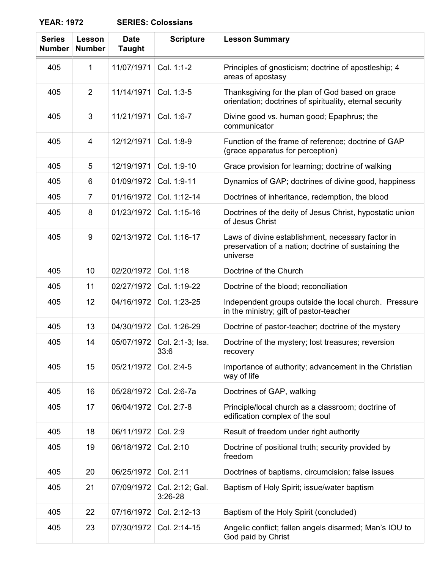## **YEAR: 1972 SERIES: Colossians**

| <b>Series</b><br><b>Number</b> | Lesson<br><b>Number</b> | <b>Date</b><br><b>Taught</b> | <b>Scripture</b>             | <b>Lesson Summary</b>                                                                                                 |
|--------------------------------|-------------------------|------------------------------|------------------------------|-----------------------------------------------------------------------------------------------------------------------|
| 405                            | 1                       | 11/07/1971                   | Col. 1:1-2                   | Principles of gnosticism; doctrine of apostleship; 4<br>areas of apostasy                                             |
| 405                            | $\overline{2}$          | 11/14/1971                   | Col. 1:3-5                   | Thanksgiving for the plan of God based on grace<br>orientation; doctrines of spirituality, eternal security           |
| 405                            | 3                       | 11/21/1971                   | Col. 1:6-7                   | Divine good vs. human good; Epaphrus; the<br>communicator                                                             |
| 405                            | 4                       | 12/12/1971                   | Col. 1:8-9                   | Function of the frame of reference; doctrine of GAP<br>(grace apparatus for perception)                               |
| 405                            | 5                       | 12/19/1971                   | Col. 1:9-10                  | Grace provision for learning; doctrine of walking                                                                     |
| 405                            | 6                       | 01/09/1972                   | Col. 1:9-11                  | Dynamics of GAP; doctrines of divine good, happiness                                                                  |
| 405                            | 7                       | 01/16/1972                   | Col. 1:12-14                 | Doctrines of inheritance, redemption, the blood                                                                       |
| 405                            | 8                       | 01/23/1972                   | Col. 1:15-16                 | Doctrines of the deity of Jesus Christ, hypostatic union<br>of Jesus Christ                                           |
| 405                            | 9                       | 02/13/1972                   | Col. 1:16-17                 | Laws of divine establishment, necessary factor in<br>preservation of a nation; doctrine of sustaining the<br>universe |
| 405                            | 10                      | 02/20/1972                   | Col. 1:18                    | Doctrine of the Church                                                                                                |
| 405                            | 11                      | 02/27/1972                   | Col. 1:19-22                 | Doctrine of the blood; reconciliation                                                                                 |
| 405                            | 12                      | 04/16/1972                   | Col. 1:23-25                 | Independent groups outside the local church. Pressure<br>in the ministry; gift of pastor-teacher                      |
| 405                            | 13                      | 04/30/1972                   | Col. 1:26-29                 | Doctrine of pastor-teacher; doctrine of the mystery                                                                   |
| 405                            | 14                      | 05/07/1972                   | Col. 2:1-3; Isa.<br>33:6     | Doctrine of the mystery; lost treasures; reversion<br>recovery                                                        |
| 405                            | 15                      | 05/21/1972                   | Col. 2:4-5                   | Importance of authority; advancement in the Christian<br>way of life                                                  |
| 405                            | 16                      | 05/28/1972                   | Col. 2:6-7a                  | Doctrines of GAP, walking                                                                                             |
| 405                            | 17                      | 06/04/1972                   | Col. 2:7-8                   | Principle/local church as a classroom; doctrine of<br>edification complex of the soul                                 |
| 405                            | 18                      | 06/11/1972                   | Col. 2:9                     | Result of freedom under right authority                                                                               |
| 405                            | 19                      | 06/18/1972                   | Col. 2:10                    | Doctrine of positional truth; security provided by<br>freedom                                                         |
| 405                            | 20                      | 06/25/1972                   | Col. 2:11                    | Doctrines of baptisms, circumcision; false issues                                                                     |
| 405                            | 21                      | 07/09/1972                   | Col. 2:12; Gal.<br>$3:26-28$ | Baptism of Holy Spirit; issue/water baptism                                                                           |
| 405                            | 22                      | 07/16/1972                   | Col. 2:12-13                 | Baptism of the Holy Spirit (concluded)                                                                                |
| 405                            | 23                      | 07/30/1972                   | Col. 2:14-15                 | Angelic conflict; fallen angels disarmed; Man's IOU to<br>God paid by Christ                                          |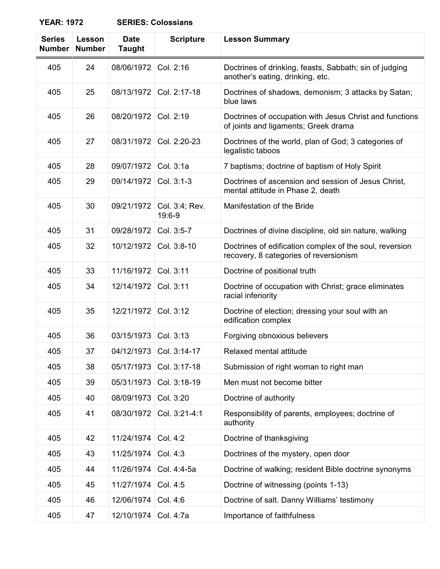## **YEAR: 1972**

| <b>Series</b><br><b>Number</b> | Lesson<br><b>Number</b> | <b>Date</b><br><b>Taught</b> | <b>Scripture</b>          | <b>Lesson Summary</b>                                                                             |
|--------------------------------|-------------------------|------------------------------|---------------------------|---------------------------------------------------------------------------------------------------|
| 405                            | 24                      | 08/06/1972                   | Col. 2:16                 | Doctrines of drinking, feasts, Sabbath; sin of judging<br>another's eating, drinking, etc.        |
| 405                            | 25                      | 08/13/1972                   | Col. 2:17-18              | Doctrines of shadows, demonism; 3 attacks by Satan;<br>blue laws                                  |
| 405                            | 26                      | 08/20/1972                   | Col. 2:19                 | Doctrines of occupation with Jesus Christ and functions<br>of joints and ligaments; Greek drama   |
| 405                            | 27                      | 08/31/1972                   | Col. 2:20-23              | Doctrines of the world, plan of God; 3 categories of<br>legalistic taboos                         |
| 405                            | 28                      | 09/07/1972                   | Col. 3:1a                 | 7 baptisms; doctrine of baptism of Holy Spirit                                                    |
| 405                            | 29                      | 09/14/1972                   | Col. 3:1-3                | Doctrines of ascension and session of Jesus Christ,<br>mental attitude in Phase 2, death          |
| 405                            | 30                      | 09/21/1972                   | Col. 3:4; Rev.<br>19:6-9  | Manifestation of the Bride                                                                        |
| 405                            | 31                      | 09/28/1972                   | Col. 3:5-7                | Doctrines of divine discipline, old sin nature, walking                                           |
| 405                            | 32                      | 10/12/1972                   | Col. 3:8-10               | Doctrines of edification complex of the soul, reversion<br>recovery, 8 categories of reversionism |
| 405                            | 33                      | 11/16/1972                   | Col. 3:11                 | Doctrine of positional truth                                                                      |
| 405                            | 34                      | 12/14/1972                   | Col. 3:11                 | Doctrine of occupation with Christ; grace eliminates<br>racial inferiority                        |
| 405                            | 35                      | 12/21/1972                   | Col. 3:12                 | Doctrine of election; dressing your soul with an<br>edification complex                           |
| 405                            | 36                      | 03/15/1973                   | Col. 3:13                 | Forgiving obnoxious believers                                                                     |
| 405                            | 37                      |                              | 04/12/1973   Col. 3:14-17 | Relaxed mental attitude                                                                           |
| 405                            | 38                      | 05/17/1973                   | Col. 3:17-18              | Submission of right woman to right man                                                            |
| 405                            | 39                      | 05/31/1973                   | Col. 3:18-19              | Men must not become bitter                                                                        |
| 405                            | 40                      | 08/09/1973                   | Col. 3:20                 | Doctrine of authority                                                                             |
| 405                            | 41                      | 08/30/1972                   | Col. 3:21-4:1             | Responsibility of parents, employees; doctrine of<br>authority                                    |
| 405                            | 42                      | 11/24/1974                   | Col. 4:2                  | Doctrine of thanksgiving                                                                          |
| 405                            | 43                      | 11/25/1974                   | Col. 4:3                  | Doctrines of the mystery, open door                                                               |
| 405                            | 44                      | 11/26/1974                   | Col. 4:4-5a               | Doctrine of walking; resident Bible doctrine synonyms                                             |
| 405                            | 45                      | 11/27/1974                   | Col. 4:5                  | Doctrine of witnessing (points 1-13)                                                              |
| 405                            | 46                      | 12/06/1974                   | Col. 4:6                  | Doctrine of salt. Danny Williams' testimony                                                       |
| 405                            | 47                      | 12/10/1974                   | Col. 4:7a                 | Importance of faithfulness                                                                        |